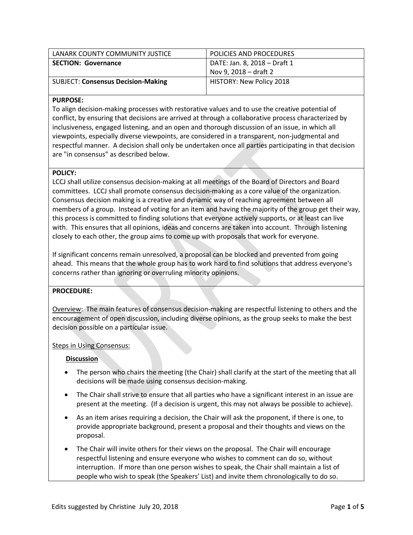| LANARK COUNTY COMMUNITY JUSTICE           | POLICIES AND PROCEDURES      |
|-------------------------------------------|------------------------------|
| <b>SECTION: Governance</b>                | DATE: Jan. 8, 2018 - Draft 1 |
|                                           | Nov 9, 2018 – draft 2        |
| <b>SUBJECT: Consensus Decision-Making</b> | HISTORY: New Policy 2018     |
|                                           |                              |

## **PURPOSE:**

To align decision-making processes with restorative values and to use the creative potential of conflict, by ensuring that decisions are arrived at through a collaborative process characterized by inclusiveness, engaged listening, and an open and thorough discussion of an issue, in which all viewpoints, especially diverse viewpoints, are considered in a transparent, non-judgmental and respectful manner. A decision shall only be undertaken once all parties participating in that decision are "in consensus" as described below.

#### **POLICY:**

LCCJ shall utilize consensus decision-making at all meetings of the Board of Directors and Board committees. LCCJ shall promote consensus decision-making as a core value of the organization. Consensus decision making is a creative and dynamic way of reaching agreement between all members of a group. Instead of voting for an item and having the majority of the group get their way, this process is committed to finding solutions that everyone actively supports, or at least can live with. This ensures that all opinions, ideas and concerns are taken into account. Through listening closely to each other, the group aims to come up with proposals that work for everyone.

If significant concerns remain unresolved, a proposal can be blocked and prevented from going ahead. This means that the whole group has to work hard to find solutions that address everyone's concerns rather than ignoring or overruling minority opinions.

### **PROCEDURE:**

Overview: The main features of consensus decision-making are respectful listening to others and the encouragement of open discussion, including diverse opinions, as the group seeks to make the best decision possible on a particular issue.

#### Steps in Using Consensus:

### **Discussion**

- The person who chairs the meeting (the Chair) shall clarify at the start of the meeting that all decisions will be made using consensus decision-making.
- The Chair shall strive to ensure that all parties who have a significant interest in an issue are present at the meeting. (If a decision is urgent, this may not always be possible to achieve).
- As an item arises requiring a decision, the Chair will ask the proponent, if there is one, to provide appropriate background, present a proposal and their thoughts and views on the proposal.
- The Chair will invite others for their views on the proposal. The Chair will encourage respectful listening and ensure everyone who wishes to comment can do so, without interruption. If more than one person wishes to speak, the Chair shall maintain a list of people who wish to speak (the Speakers' List) and invite them chronologically to do so.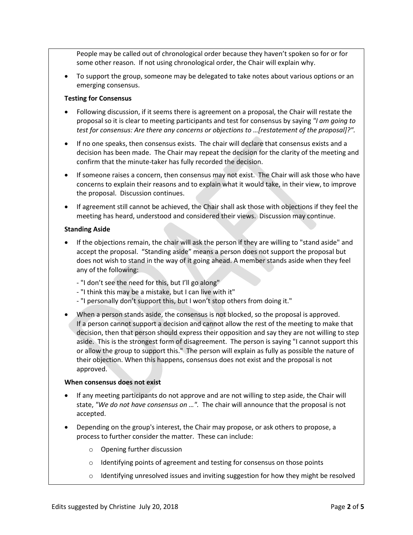People may be called out of chronological order because they haven't spoken so for or for some other reason. If not using chronological order, the Chair will explain why.

• To support the group, someone may be delegated to take notes about various options or an emerging consensus.

#### **Testing for Consensus**

- Following discussion, if it seems there is agreement on a proposal, the Chair will restate the proposal so it is clear to meeting participants and test for consensus by saying *"I am going to test for consensus: Are there any concerns or objections to …[restatement of the proposal]?".*
- If no one speaks, then consensus exists. The chair will declare that consensus exists and a decision has been made. The Chair may repeat the decision for the clarity of the meeting and confirm that the minute-taker has fully recorded the decision.
- If someone raises a concern, then consensus may not exist. The Chair will ask those who have concerns to explain their reasons and to explain what it would take, in their view, to improve the proposal. Discussion continues.
- If agreement still cannot be achieved, the Chair shall ask those with objections if they feel the meeting has heard, understood and considered their views. Discussion may continue.

#### **Standing Aside**

- If the objections remain, the chair will ask the person if they are willing to "stand aside" and accept the proposal. "Standing aside" means a person does not support the proposal but does not wish to stand in the way of it going ahead. A member stands aside when they feel any of the following:
	- "I don't see the need for this, but I'll go along"
	- "I think this may be a mistake, but I can live with it"
	- "I personally don't support this, but I won't stop others from doing it."
- When a person stands aside, the consensus is not blocked, so the proposal is approved. If a person cannot support a decision and cannot allow the rest of the meeting to make that decision, then that person should express their opposition and say they are not willing to step aside. This is the strongest form of disagreement. The person is saying "I cannot support this or allow the group to support this." The person will explain as fully as possible the nature of their objection. When this happens, consensus does not exist and the proposal is not approved.

#### **When consensus does not exist**

- If any meeting participants do not approve and are not willing to step aside, the Chair will state, *"We do not have consensus on …".* The chair will announce that the proposal is not accepted.
- Depending on the group's interest, the Chair may propose, or ask others to propose, a process to further consider the matter. These can include:
	- o Opening further discussion
	- o Identifying points of agreement and testing for consensus on those points
	- $\circ$  Identifying unresolved issues and inviting suggestion for how they might be resolved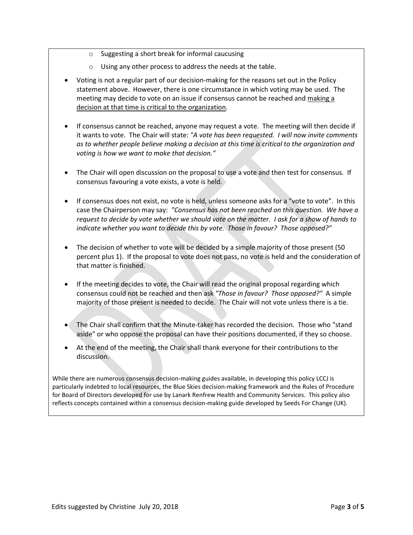- o Suggesting a short break for informal caucusing
- o Using any other process to address the needs at the table.
- Voting is not a regular part of our decision-making for the reasons set out in the Policy statement above. However, there is one circumstance in which voting may be used. The meeting may decide to vote on an issue if consensus cannot be reached and making a decision at that time is critical to the organization.
- If consensus cannot be reached, anyone may request a vote. The meeting will then decide if it wants to vote. The Chair will state: *"A vote has been requested. I will now invite comments as to whether people believe making a decision at this time is critical to the organization and voting is how we want to make that decision."*
- The Chair will open discussion on the proposal to use a vote and then test for consensus. If consensus favouring a vote exists, a vote is held.
- If consensus does not exist, no vote is held, unless someone asks for a "vote to vote". In this case the Chairperson may say: *"Consensus has not been reached on this question. We have a request to decide by vote whether we should vote on the matter. I ask for a show of hands to indicate whether you want to decide this by vote. Those in favour? Those opposed?"*
- The decision of whether to vote will be decided by a simple majority of those present (50 percent plus 1). If the proposal to vote does not pass, no vote is held and the consideration of that matter is finished.
- If the meeting decides to vote, the Chair will read the original proposal regarding which consensus could not be reached and then ask *"Those in favour? Those opposed?"* A simple majority of those present is needed to decide. The Chair will not vote unless there is a tie.
- The Chair shall confirm that the Minute-taker has recorded the decision. Those who "stand aside" or who oppose the proposal can have their positions documented, if they so choose.
- At the end of the meeting, the Chair shall thank everyone for their contributions to the discussion.

While there are numerous consensus decision-making guides available, in developing this policy LCCJ is particularly indebted to local resources, the Blue Skies decision-making framework and the Rules of Procedure for Board of Directors developed for use by Lanark Renfrew Health and Community Services. This policy also reflects concepts contained within a consensus decision-making guide developed by Seeds For Change (UK).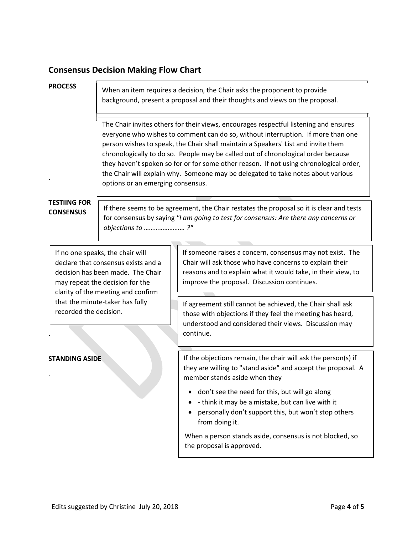# **Consensus Decision Making Flow Chart**

#### **PROCESS**

When an item requires a decision, the Chair asks the proponent to provide background, present a proposal and their thoughts and views on the proposal.

The Chair invites others for their views, encourages respectful listening and ensures everyone who wishes to comment can do so, without interruption. If more than one person wishes to speak, the Chair shall maintain a Speakers' List and invite them chronologically to do so. People may be called out of chronological order because they haven't spoken so for or for some other reason. If not using chronological order, the Chair will explain why. Someone may be delegated to take notes about various options or an emerging consensus.

## **TESTIING FOR CONSENSUS**

.

If there seems to be agreement, the Chair restates the proposal so it is clear and tests for consensus by saying *"I am going to test for consensus: Are there any concerns or objections to …………………… ?"*

If no one speaks, the chair will declare that consensus exists and a decision has been made. The Chair may repeat the decision for the clarity of the meeting and confirm that the minute-taker has fully recorded the decision.

### **STANDING ASIDE**

.

.

If someone raises a concern, consensus may not exist. The Chair will ask those who have concerns to explain their reasons and to explain what it would take, in their view, to improve the proposal. Discussion continues.

If agreement still cannot be achieved, the Chair shall ask those with objections if they feel the meeting has heard, understood and considered their views. Discussion may continue.

If the objections remain, the chair will ask the person(s) if they are willing to "stand aside" and accept the proposal. A member stands aside when they

- don't see the need for this, but will go along
- - think it may be a mistake, but can live with it
- personally don't support this, but won't stop others from doing it.

When a person stands aside, consensus is not blocked, so the proposal is approved.